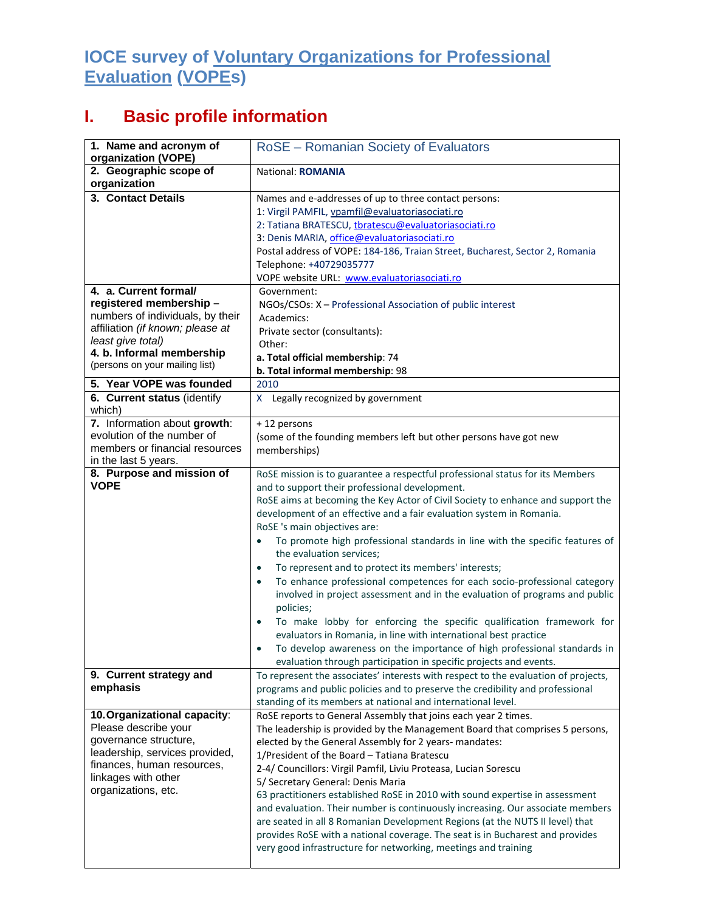## **IOCE survey of Voluntary Organizations for Professional Evaluation (VOPEs)**

## **I. Basic profile information**

| 1. Name and acronym of<br>organization (VOPE)                                                                                                                                                                | RoSE - Romanian Society of Evaluators                                                                                                                                                                                                                                                                                                                                                                                                                                                                                                                                                                                                                                                                                                                                                                                                                                                                                                                                                                                 |
|--------------------------------------------------------------------------------------------------------------------------------------------------------------------------------------------------------------|-----------------------------------------------------------------------------------------------------------------------------------------------------------------------------------------------------------------------------------------------------------------------------------------------------------------------------------------------------------------------------------------------------------------------------------------------------------------------------------------------------------------------------------------------------------------------------------------------------------------------------------------------------------------------------------------------------------------------------------------------------------------------------------------------------------------------------------------------------------------------------------------------------------------------------------------------------------------------------------------------------------------------|
| 2. Geographic scope of<br>organization                                                                                                                                                                       | National: ROMANIA                                                                                                                                                                                                                                                                                                                                                                                                                                                                                                                                                                                                                                                                                                                                                                                                                                                                                                                                                                                                     |
| 3. Contact Details                                                                                                                                                                                           | Names and e-addresses of up to three contact persons:<br>1: Virgil PAMFIL, vpamfil@evaluatoriasociati.ro<br>2: Tatiana BRATESCU, tbratescu@evaluatoriasociati.ro                                                                                                                                                                                                                                                                                                                                                                                                                                                                                                                                                                                                                                                                                                                                                                                                                                                      |
|                                                                                                                                                                                                              | 3: Denis MARIA, office@evaluatoriasociati.ro<br>Postal address of VOPE: 184-186, Traian Street, Bucharest, Sector 2, Romania<br>Telephone: +40729035777<br>VOPE website URL: www.evaluatoriasociati.ro                                                                                                                                                                                                                                                                                                                                                                                                                                                                                                                                                                                                                                                                                                                                                                                                                |
| 4. a. Current formal/<br>registered membership -<br>numbers of individuals, by their<br>affiliation (if known; please at<br>least give total)<br>4. b. Informal membership<br>(persons on your mailing list) | Government:<br>NGOs/CSOs: X - Professional Association of public interest<br>Academics:<br>Private sector (consultants):<br>Other:<br>a. Total official membership: 74                                                                                                                                                                                                                                                                                                                                                                                                                                                                                                                                                                                                                                                                                                                                                                                                                                                |
|                                                                                                                                                                                                              | b. Total informal membership: 98                                                                                                                                                                                                                                                                                                                                                                                                                                                                                                                                                                                                                                                                                                                                                                                                                                                                                                                                                                                      |
| 5. Year VOPE was founded<br>6. Current status (identify                                                                                                                                                      | 2010<br>X Legally recognized by government                                                                                                                                                                                                                                                                                                                                                                                                                                                                                                                                                                                                                                                                                                                                                                                                                                                                                                                                                                            |
| which)                                                                                                                                                                                                       |                                                                                                                                                                                                                                                                                                                                                                                                                                                                                                                                                                                                                                                                                                                                                                                                                                                                                                                                                                                                                       |
| 7. Information about growth:<br>evolution of the number of<br>members or financial resources<br>in the last 5 years.                                                                                         | +12 persons<br>(some of the founding members left but other persons have got new<br>memberships)                                                                                                                                                                                                                                                                                                                                                                                                                                                                                                                                                                                                                                                                                                                                                                                                                                                                                                                      |
| 8. Purpose and mission of<br><b>VOPE</b>                                                                                                                                                                     | RoSE mission is to guarantee a respectful professional status for its Members<br>and to support their professional development.<br>RoSE aims at becoming the Key Actor of Civil Society to enhance and support the<br>development of an effective and a fair evaluation system in Romania.<br>RoSE 's main objectives are:<br>To promote high professional standards in line with the specific features of<br>$\bullet$<br>the evaluation services;<br>To represent and to protect its members' interests;<br>$\bullet$<br>To enhance professional competences for each socio-professional category<br>$\bullet$<br>involved in project assessment and in the evaluation of programs and public<br>policies;<br>To make lobby for enforcing the specific qualification framework for<br>$\bullet$<br>evaluators in Romania, in line with international best practice<br>To develop awareness on the importance of high professional standards in<br>evaluation through participation in specific projects and events. |
| 9. Current strategy and<br>emphasis                                                                                                                                                                          | To represent the associates' interests with respect to the evaluation of projects,                                                                                                                                                                                                                                                                                                                                                                                                                                                                                                                                                                                                                                                                                                                                                                                                                                                                                                                                    |
|                                                                                                                                                                                                              | programs and public policies and to preserve the credibility and professional<br>standing of its members at national and international level.                                                                                                                                                                                                                                                                                                                                                                                                                                                                                                                                                                                                                                                                                                                                                                                                                                                                         |
| 10. Organizational capacity:<br>Please describe your<br>governance structure,<br>leadership, services provided,<br>finances, human resources,<br>linkages with other<br>organizations, etc.                  | RoSE reports to General Assembly that joins each year 2 times.<br>The leadership is provided by the Management Board that comprises 5 persons,<br>elected by the General Assembly for 2 years- mandates:<br>1/President of the Board - Tatiana Bratescu<br>2-4/ Councillors: Virgil Pamfil, Liviu Proteasa, Lucian Sorescu<br>5/ Secretary General: Denis Maria<br>63 practitioners established RoSE in 2010 with sound expertise in assessment<br>and evaluation. Their number is continuously increasing. Our associate members<br>are seated in all 8 Romanian Development Regions (at the NUTS II level) that<br>provides RoSE with a national coverage. The seat is in Bucharest and provides<br>very good infrastructure for networking, meetings and training                                                                                                                                                                                                                                                  |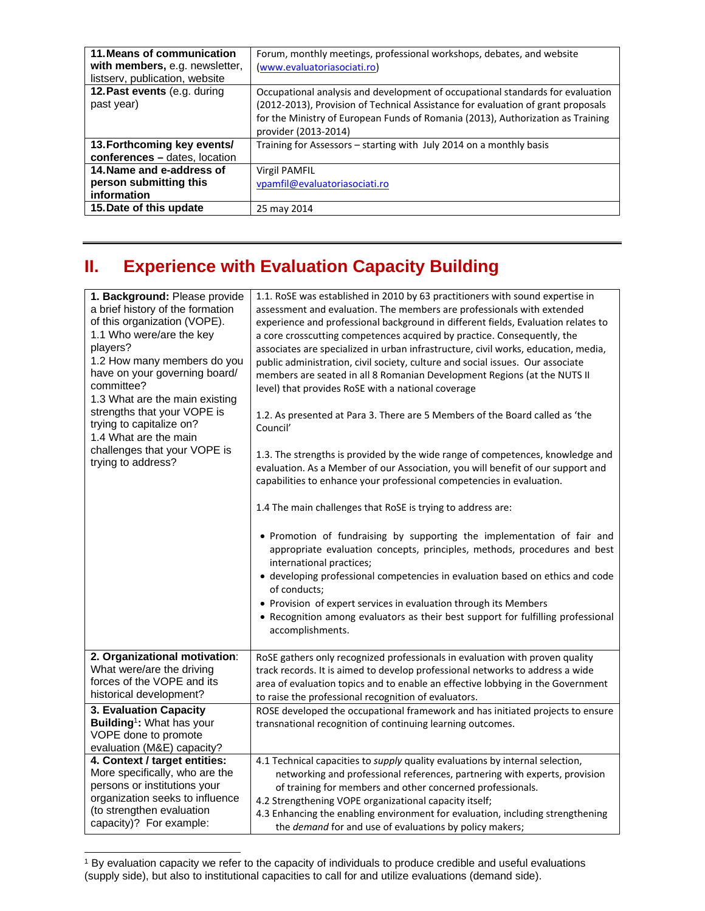| 11. Means of communication<br>with members, e.g. newsletter,<br>listserv, publication, website | Forum, monthly meetings, professional workshops, debates, and website<br>(www.evaluatoriasociati.ro)                                                                                                                                                                          |
|------------------------------------------------------------------------------------------------|-------------------------------------------------------------------------------------------------------------------------------------------------------------------------------------------------------------------------------------------------------------------------------|
| 12. Past events (e.g. during<br>past year)                                                     | Occupational analysis and development of occupational standards for evaluation<br>(2012-2013), Provision of Technical Assistance for evaluation of grant proposals<br>for the Ministry of European Funds of Romania (2013), Authorization as Training<br>provider (2013-2014) |
| 13. Forthcoming key events/<br>conferences - dates, location                                   | Training for Assessors - starting with July 2014 on a monthly basis                                                                                                                                                                                                           |
| 14. Name and e-address of<br>person submitting this<br>information                             | <b>Virgil PAMFIL</b><br>vpamfil@evaluatoriasociati.ro                                                                                                                                                                                                                         |
| 15. Date of this update                                                                        | 25 may 2014                                                                                                                                                                                                                                                                   |

## **II. Experience with Evaluation Capacity Building**

| 1. Background: Please provide<br>a brief history of the formation<br>of this organization (VOPE).<br>1.1 Who were/are the key<br>players?<br>1.2 How many members do you<br>have on your governing board/<br>committee?<br>1.3 What are the main existing<br>strengths that your VOPE is<br>trying to capitalize on?<br>1.4 What are the main<br>challenges that your VOPE is<br>trying to address? | 1.1. RoSE was established in 2010 by 63 practitioners with sound expertise in<br>assessment and evaluation. The members are professionals with extended<br>experience and professional background in different fields, Evaluation relates to<br>a core crosscutting competences acquired by practice. Consequently, the<br>associates are specialized in urban infrastructure, civil works, education, media,<br>public administration, civil society, culture and social issues. Our associate<br>members are seated in all 8 Romanian Development Regions (at the NUTS II<br>level) that provides RoSE with a national coverage<br>1.2. As presented at Para 3. There are 5 Members of the Board called as 'the<br>Council'<br>1.3. The strengths is provided by the wide range of competences, knowledge and<br>evaluation. As a Member of our Association, you will benefit of our support and<br>capabilities to enhance your professional competencies in evaluation.<br>1.4 The main challenges that RoSE is trying to address are:<br>. Promotion of fundraising by supporting the implementation of fair and<br>appropriate evaluation concepts, principles, methods, procedures and best<br>international practices;<br>· developing professional competencies in evaluation based on ethics and code<br>of conducts;<br>• Provision of expert services in evaluation through its Members<br>• Recognition among evaluators as their best support for fulfilling professional<br>accomplishments. |
|-----------------------------------------------------------------------------------------------------------------------------------------------------------------------------------------------------------------------------------------------------------------------------------------------------------------------------------------------------------------------------------------------------|-------------------------------------------------------------------------------------------------------------------------------------------------------------------------------------------------------------------------------------------------------------------------------------------------------------------------------------------------------------------------------------------------------------------------------------------------------------------------------------------------------------------------------------------------------------------------------------------------------------------------------------------------------------------------------------------------------------------------------------------------------------------------------------------------------------------------------------------------------------------------------------------------------------------------------------------------------------------------------------------------------------------------------------------------------------------------------------------------------------------------------------------------------------------------------------------------------------------------------------------------------------------------------------------------------------------------------------------------------------------------------------------------------------------------------------------------------------------------------------------------------------|
| 2. Organizational motivation:                                                                                                                                                                                                                                                                                                                                                                       | RoSE gathers only recognized professionals in evaluation with proven quality                                                                                                                                                                                                                                                                                                                                                                                                                                                                                                                                                                                                                                                                                                                                                                                                                                                                                                                                                                                                                                                                                                                                                                                                                                                                                                                                                                                                                                |
| What were/are the driving                                                                                                                                                                                                                                                                                                                                                                           | track records. It is aimed to develop professional networks to address a wide                                                                                                                                                                                                                                                                                                                                                                                                                                                                                                                                                                                                                                                                                                                                                                                                                                                                                                                                                                                                                                                                                                                                                                                                                                                                                                                                                                                                                               |
| forces of the VOPE and its                                                                                                                                                                                                                                                                                                                                                                          | area of evaluation topics and to enable an effective lobbying in the Government                                                                                                                                                                                                                                                                                                                                                                                                                                                                                                                                                                                                                                                                                                                                                                                                                                                                                                                                                                                                                                                                                                                                                                                                                                                                                                                                                                                                                             |
| historical development?                                                                                                                                                                                                                                                                                                                                                                             | to raise the professional recognition of evaluators.                                                                                                                                                                                                                                                                                                                                                                                                                                                                                                                                                                                                                                                                                                                                                                                                                                                                                                                                                                                                                                                                                                                                                                                                                                                                                                                                                                                                                                                        |
| 3. Evaluation Capacity<br>Building <sup>1</sup> : What has your<br>VOPE done to promote<br>evaluation (M&E) capacity?                                                                                                                                                                                                                                                                               | ROSE developed the occupational framework and has initiated projects to ensure<br>transnational recognition of continuing learning outcomes.                                                                                                                                                                                                                                                                                                                                                                                                                                                                                                                                                                                                                                                                                                                                                                                                                                                                                                                                                                                                                                                                                                                                                                                                                                                                                                                                                                |
| 4. Context / target entities:                                                                                                                                                                                                                                                                                                                                                                       | 4.1 Technical capacities to supply quality evaluations by internal selection,                                                                                                                                                                                                                                                                                                                                                                                                                                                                                                                                                                                                                                                                                                                                                                                                                                                                                                                                                                                                                                                                                                                                                                                                                                                                                                                                                                                                                               |
| More specifically, who are the                                                                                                                                                                                                                                                                                                                                                                      | networking and professional references, partnering with experts, provision                                                                                                                                                                                                                                                                                                                                                                                                                                                                                                                                                                                                                                                                                                                                                                                                                                                                                                                                                                                                                                                                                                                                                                                                                                                                                                                                                                                                                                  |
| persons or institutions your                                                                                                                                                                                                                                                                                                                                                                        | of training for members and other concerned professionals.                                                                                                                                                                                                                                                                                                                                                                                                                                                                                                                                                                                                                                                                                                                                                                                                                                                                                                                                                                                                                                                                                                                                                                                                                                                                                                                                                                                                                                                  |
| organization seeks to influence                                                                                                                                                                                                                                                                                                                                                                     | 4.2 Strengthening VOPE organizational capacity itself;                                                                                                                                                                                                                                                                                                                                                                                                                                                                                                                                                                                                                                                                                                                                                                                                                                                                                                                                                                                                                                                                                                                                                                                                                                                                                                                                                                                                                                                      |
| (to strengthen evaluation                                                                                                                                                                                                                                                                                                                                                                           | 4.3 Enhancing the enabling environment for evaluation, including strengthening                                                                                                                                                                                                                                                                                                                                                                                                                                                                                                                                                                                                                                                                                                                                                                                                                                                                                                                                                                                                                                                                                                                                                                                                                                                                                                                                                                                                                              |
| capacity)? For example:                                                                                                                                                                                                                                                                                                                                                                             | the demand for and use of evaluations by policy makers;                                                                                                                                                                                                                                                                                                                                                                                                                                                                                                                                                                                                                                                                                                                                                                                                                                                                                                                                                                                                                                                                                                                                                                                                                                                                                                                                                                                                                                                     |

<sup>1</sup> By evaluation capacity we refer to the capacity of individuals to produce credible and useful evaluations (supply side), but also to institutional capacities to call for and utilize evaluations (demand side).

l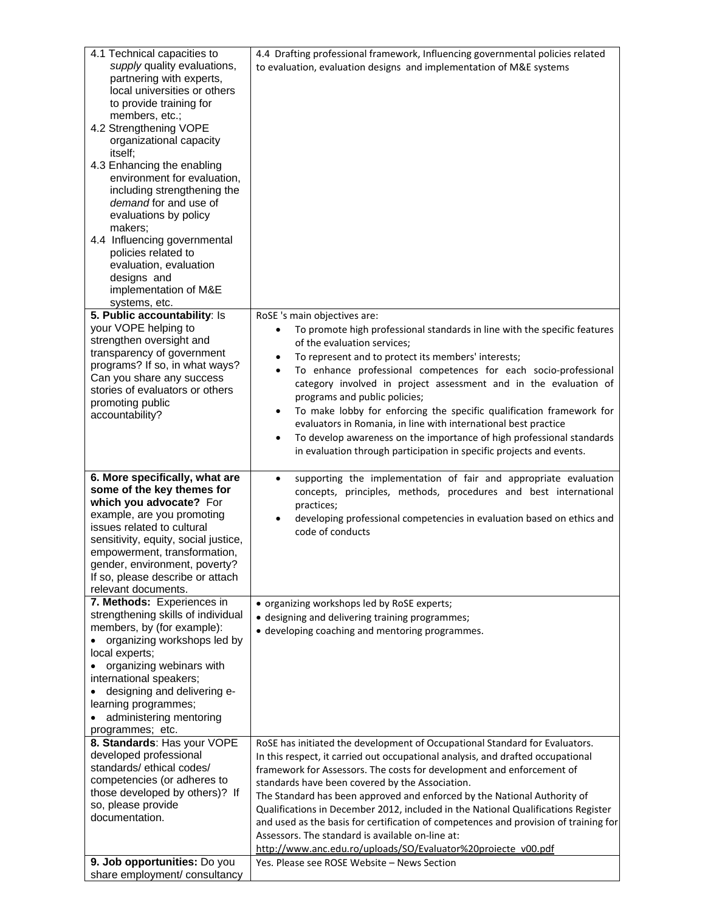| 5. Public accountability: Is<br>RoSE 's main objectives are:<br>your VOPE helping to<br>To promote high professional standards in line with the specific features<br>strengthen oversight and<br>of the evaluation services;<br>transparency of government<br>To represent and to protect its members' interests;<br>programs? If so, in what ways?<br>To enhance professional competences for each socio-professional<br>٠<br>Can you share any success<br>category involved in project assessment and in the evaluation of<br>stories of evaluators or others<br>programs and public policies;<br>promoting public<br>To make lobby for enforcing the specific qualification framework for<br>٠<br>accountability?<br>evaluators in Romania, in line with international best practice<br>To develop awareness on the importance of high professional standards<br>$\bullet$<br>in evaluation through participation in specific projects and events.<br>6. More specifically, what are<br>supporting the implementation of fair and appropriate evaluation<br>some of the key themes for<br>concepts, principles, methods, procedures and best international<br>which you advocate? For<br>practices;<br>example, are you promoting<br>developing professional competencies in evaluation based on ethics and<br>issues related to cultural<br>code of conducts<br>sensitivity, equity, social justice,<br>empowerment, transformation,<br>gender, environment, poverty?<br>If so, please describe or attach<br>relevant documents.<br>7. Methods: Experiences in<br>• organizing workshops led by RoSE experts;<br>strengthening skills of individual<br>• designing and delivering training programmes;<br>members, by (for example):<br>• developing coaching and mentoring programmes.<br>organizing workshops led by<br>local experts;<br>organizing webinars with<br>international speakers;<br>designing and delivering e-<br>learning programmes;<br>administering mentoring<br>programmes; etc.<br>8. Standards: Has your VOPE<br>RoSE has initiated the development of Occupational Standard for Evaluators.<br>developed professional<br>In this respect, it carried out occupational analysis, and drafted occupational<br>standards/ethical codes/<br>framework for Assessors. The costs for development and enforcement of<br>competencies (or adheres to<br>standards have been covered by the Association.<br>those developed by others)? If<br>The Standard has been approved and enforced by the National Authority of<br>so, please provide<br>Qualifications in December 2012, included in the National Qualifications Register<br>documentation.<br>and used as the basis for certification of competences and provision of training for<br>Assessors. The standard is available on-line at:<br>http://www.anc.edu.ro/uploads/SO/Evaluator%20proiecte_v00.pdf<br>9. Job opportunities: Do you<br>Yes. Please see ROSE Website – News Section<br>share employment/ consultancy | 4.1 Technical capacities to<br>supply quality evaluations,<br>partnering with experts,<br>local universities or others<br>to provide training for<br>members, etc.;<br>4.2 Strengthening VOPE<br>organizational capacity<br>itself;<br>4.3 Enhancing the enabling<br>environment for evaluation,<br>including strengthening the<br>demand for and use of<br>evaluations by policy<br>makers;<br>4.4 Influencing governmental<br>policies related to<br>evaluation, evaluation<br>designs and<br>implementation of M&E<br>systems, etc. | 4.4 Drafting professional framework, Influencing governmental policies related<br>to evaluation, evaluation designs and implementation of M&E systems |
|-----------------------------------------------------------------------------------------------------------------------------------------------------------------------------------------------------------------------------------------------------------------------------------------------------------------------------------------------------------------------------------------------------------------------------------------------------------------------------------------------------------------------------------------------------------------------------------------------------------------------------------------------------------------------------------------------------------------------------------------------------------------------------------------------------------------------------------------------------------------------------------------------------------------------------------------------------------------------------------------------------------------------------------------------------------------------------------------------------------------------------------------------------------------------------------------------------------------------------------------------------------------------------------------------------------------------------------------------------------------------------------------------------------------------------------------------------------------------------------------------------------------------------------------------------------------------------------------------------------------------------------------------------------------------------------------------------------------------------------------------------------------------------------------------------------------------------------------------------------------------------------------------------------------------------------------------------------------------------------------------------------------------------------------------------------------------------------------------------------------------------------------------------------------------------------------------------------------------------------------------------------------------------------------------------------------------------------------------------------------------------------------------------------------------------------------------------------------------------------------------------------------------------------------------------------------------------------------------------------------------------------------------------------------------------------------------------------------------------------------------------------------------------------------------------------------------------------------------------------------------------------------------------------------------------------------------------------------------------------------------------|----------------------------------------------------------------------------------------------------------------------------------------------------------------------------------------------------------------------------------------------------------------------------------------------------------------------------------------------------------------------------------------------------------------------------------------------------------------------------------------------------------------------------------------|-------------------------------------------------------------------------------------------------------------------------------------------------------|
|                                                                                                                                                                                                                                                                                                                                                                                                                                                                                                                                                                                                                                                                                                                                                                                                                                                                                                                                                                                                                                                                                                                                                                                                                                                                                                                                                                                                                                                                                                                                                                                                                                                                                                                                                                                                                                                                                                                                                                                                                                                                                                                                                                                                                                                                                                                                                                                                                                                                                                                                                                                                                                                                                                                                                                                                                                                                                                                                                                                                     |                                                                                                                                                                                                                                                                                                                                                                                                                                                                                                                                        |                                                                                                                                                       |
|                                                                                                                                                                                                                                                                                                                                                                                                                                                                                                                                                                                                                                                                                                                                                                                                                                                                                                                                                                                                                                                                                                                                                                                                                                                                                                                                                                                                                                                                                                                                                                                                                                                                                                                                                                                                                                                                                                                                                                                                                                                                                                                                                                                                                                                                                                                                                                                                                                                                                                                                                                                                                                                                                                                                                                                                                                                                                                                                                                                                     |                                                                                                                                                                                                                                                                                                                                                                                                                                                                                                                                        |                                                                                                                                                       |
|                                                                                                                                                                                                                                                                                                                                                                                                                                                                                                                                                                                                                                                                                                                                                                                                                                                                                                                                                                                                                                                                                                                                                                                                                                                                                                                                                                                                                                                                                                                                                                                                                                                                                                                                                                                                                                                                                                                                                                                                                                                                                                                                                                                                                                                                                                                                                                                                                                                                                                                                                                                                                                                                                                                                                                                                                                                                                                                                                                                                     |                                                                                                                                                                                                                                                                                                                                                                                                                                                                                                                                        |                                                                                                                                                       |
|                                                                                                                                                                                                                                                                                                                                                                                                                                                                                                                                                                                                                                                                                                                                                                                                                                                                                                                                                                                                                                                                                                                                                                                                                                                                                                                                                                                                                                                                                                                                                                                                                                                                                                                                                                                                                                                                                                                                                                                                                                                                                                                                                                                                                                                                                                                                                                                                                                                                                                                                                                                                                                                                                                                                                                                                                                                                                                                                                                                                     |                                                                                                                                                                                                                                                                                                                                                                                                                                                                                                                                        |                                                                                                                                                       |
|                                                                                                                                                                                                                                                                                                                                                                                                                                                                                                                                                                                                                                                                                                                                                                                                                                                                                                                                                                                                                                                                                                                                                                                                                                                                                                                                                                                                                                                                                                                                                                                                                                                                                                                                                                                                                                                                                                                                                                                                                                                                                                                                                                                                                                                                                                                                                                                                                                                                                                                                                                                                                                                                                                                                                                                                                                                                                                                                                                                                     |                                                                                                                                                                                                                                                                                                                                                                                                                                                                                                                                        |                                                                                                                                                       |
|                                                                                                                                                                                                                                                                                                                                                                                                                                                                                                                                                                                                                                                                                                                                                                                                                                                                                                                                                                                                                                                                                                                                                                                                                                                                                                                                                                                                                                                                                                                                                                                                                                                                                                                                                                                                                                                                                                                                                                                                                                                                                                                                                                                                                                                                                                                                                                                                                                                                                                                                                                                                                                                                                                                                                                                                                                                                                                                                                                                                     |                                                                                                                                                                                                                                                                                                                                                                                                                                                                                                                                        |                                                                                                                                                       |
|                                                                                                                                                                                                                                                                                                                                                                                                                                                                                                                                                                                                                                                                                                                                                                                                                                                                                                                                                                                                                                                                                                                                                                                                                                                                                                                                                                                                                                                                                                                                                                                                                                                                                                                                                                                                                                                                                                                                                                                                                                                                                                                                                                                                                                                                                                                                                                                                                                                                                                                                                                                                                                                                                                                                                                                                                                                                                                                                                                                                     |                                                                                                                                                                                                                                                                                                                                                                                                                                                                                                                                        |                                                                                                                                                       |
|                                                                                                                                                                                                                                                                                                                                                                                                                                                                                                                                                                                                                                                                                                                                                                                                                                                                                                                                                                                                                                                                                                                                                                                                                                                                                                                                                                                                                                                                                                                                                                                                                                                                                                                                                                                                                                                                                                                                                                                                                                                                                                                                                                                                                                                                                                                                                                                                                                                                                                                                                                                                                                                                                                                                                                                                                                                                                                                                                                                                     |                                                                                                                                                                                                                                                                                                                                                                                                                                                                                                                                        |                                                                                                                                                       |
|                                                                                                                                                                                                                                                                                                                                                                                                                                                                                                                                                                                                                                                                                                                                                                                                                                                                                                                                                                                                                                                                                                                                                                                                                                                                                                                                                                                                                                                                                                                                                                                                                                                                                                                                                                                                                                                                                                                                                                                                                                                                                                                                                                                                                                                                                                                                                                                                                                                                                                                                                                                                                                                                                                                                                                                                                                                                                                                                                                                                     |                                                                                                                                                                                                                                                                                                                                                                                                                                                                                                                                        |                                                                                                                                                       |